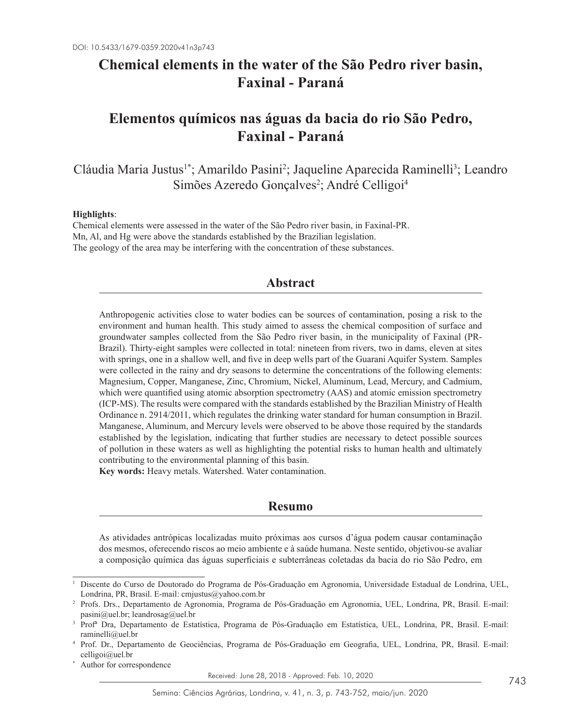# **Chemical elements in the water of the São Pedro river basin, Faxinal - Paraná**

# **Elementos químicos nas águas da bacia do rio São Pedro, Faxinal - Paraná**

Cláudia Maria Justus<sup>1\*</sup>; Amarildo Pasini<sup>2</sup>; Jaqueline Aparecida Raminelli<sup>3</sup>; Leandro Simões Azeredo Gonçalves<sup>2</sup>; André Celligoi<sup>4</sup>

#### **Highlights**:

Chemical elements were assessed in the water of the São Pedro river basin, in Faxinal-PR. Mn, Al, and Hg were above the standards established by the Brazilian legislation. The geology of the area may be interfering with the concentration of these substances.

#### **Abstract**

Anthropogenic activities close to water bodies can be sources of contamination, posing a risk to the environment and human health. This study aimed to assess the chemical composition of surface and groundwater samples collected from the São Pedro river basin, in the municipality of Faxinal (PR-Brazil). Thirty-eight samples were collected in total: nineteen from rivers, two in dams, eleven at sites with springs, one in a shallow well, and five in deep wells part of the Guarani Aquifer System. Samples were collected in the rainy and dry seasons to determine the concentrations of the following elements: Magnesium, Copper, Manganese, Zinc, Chromium, Nickel, Aluminum, Lead, Mercury, and Cadmium, which were quantified using atomic absorption spectrometry (AAS) and atomic emission spectrometry (ICP-MS). The results were compared with the standards established by the Brazilian Ministry of Health Ordinance n. 2914/2011, which regulates the drinking water standard for human consumption in Brazil. Manganese, Aluminum, and Mercury levels were observed to be above those required by the standards established by the legislation, indicating that further studies are necessary to detect possible sources of pollution in these waters as well as highlighting the potential risks to human health and ultimately contributing to the environmental planning of this basin.

**Key words:** Heavy metals. Watershed. Water contamination.

### **Resumo**

As atividades antrópicas localizadas muito próximas aos cursos d'água podem causar contaminação dos mesmos, oferecendo riscos ao meio ambiente e à saúde humana. Neste sentido, objetivou-se avaliar a composição química das águas superficiais e subterrâneas coletadas da bacia do rio São Pedro, em

Received: June 28, 2018 - Approved: Feb. 10, 2020

<sup>&</sup>lt;sup>1</sup> Discente do Curso de Doutorado do Programa de Pós-Graduação em Agronomia, Universidade Estadual de Londrina, UEL, Londrina, PR, Brasil. E-mail: cmjustus@yahoo.com.br

<sup>&</sup>lt;sup>2</sup> Profs. Drs., Departamento de Agronomia, Programa de Pós-Graduação em Agronomia, UEL, Londrina, PR, Brasil. E-mail: pasini@uel.br; leandrosag@uel.br

<sup>&</sup>lt;sup>3</sup> Prof<sup>a</sup> Dra, Departamento de Estatística, Programa de Pós-Graduação em Estatística, UEL, Londrina, PR, Brasil. E-mail: raminelli@uel.br

<sup>4</sup> Prof. Dr., Departamento de Geociências, Programa de Pós-Graduação em Geografia, UEL, Londrina, PR, Brasil. E-mail: celligoi@uel.br

Author for correspondence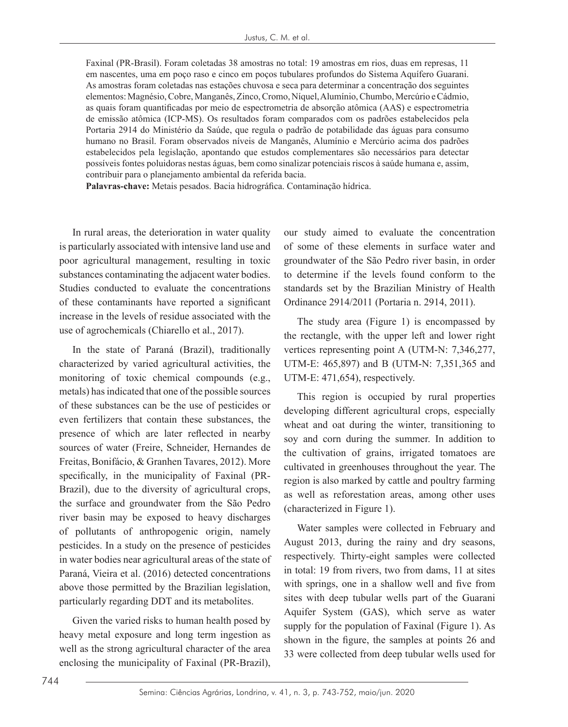Faxinal (PR-Brasil). Foram coletadas 38 amostras no total: 19 amostras em rios, duas em represas, 11 em nascentes, uma em poço raso e cinco em poços tubulares profundos do Sistema Aquífero Guarani. As amostras foram coletadas nas estações chuvosa e seca para determinar a concentração dos seguintes elementos: Magnésio, Cobre, Manganês, Zinco, Cromo, Níquel, Alumínio, Chumbo, Mercúrio e Cádmio, as quais foram quantificadas por meio de espectrometria de absorção atômica (AAS) e espectrometria de emissão atômica (ICP-MS). Os resultados foram comparados com os padrões estabelecidos pela Portaria 2914 do Ministério da Saúde, que regula o padrão de potabilidade das águas para consumo humano no Brasil. Foram observados níveis de Manganês, Alumínio e Mercúrio acima dos padrões estabelecidos pela legislação, apontando que estudos complementares são necessários para detectar possíveis fontes poluidoras nestas águas, bem como sinalizar potenciais riscos à saúde humana e, assim, contribuir para o planejamento ambiental da referida bacia.

**Palavras-chave:** Metais pesados. Bacia hidrográfica. Contaminação hídrica.

In rural areas, the deterioration in water quality is particularly associated with intensive land use and poor agricultural management, resulting in toxic substances contaminating the adjacent water bodies. Studies conducted to evaluate the concentrations of these contaminants have reported a significant increase in the levels of residue associated with the use of agrochemicals (Chiarello et al., 2017).

In the state of Paraná (Brazil), traditionally characterized by varied agricultural activities, the monitoring of toxic chemical compounds (e.g., metals) has indicated that one of the possible sources of these substances can be the use of pesticides or even fertilizers that contain these substances, the presence of which are later reflected in nearby sources of water (Freire, Schneider, Hernandes de Freitas, Bonifácio, & Granhen Tavares, 2012). More specifically, in the municipality of Faxinal (PR-Brazil), due to the diversity of agricultural crops, the surface and groundwater from the São Pedro river basin may be exposed to heavy discharges of pollutants of anthropogenic origin, namely pesticides. In a study on the presence of pesticides in water bodies near agricultural areas of the state of Paraná, Vieira et al. (2016) detected concentrations above those permitted by the Brazilian legislation, particularly regarding DDT and its metabolites.

Given the varied risks to human health posed by heavy metal exposure and long term ingestion as well as the strong agricultural character of the area enclosing the municipality of Faxinal (PR-Brazil), our study aimed to evaluate the concentration of some of these elements in surface water and groundwater of the São Pedro river basin, in order to determine if the levels found conform to the standards set by the Brazilian Ministry of Health Ordinance 2914/2011 (Portaria n. 2914, 2011).

The study area (Figure 1) is encompassed by the rectangle, with the upper left and lower right vertices representing point A (UTM-N: 7,346,277, UTM-E: 465,897) and B (UTM-N: 7,351,365 and UTM-E: 471,654), respectively.

This region is occupied by rural properties developing different agricultural crops, especially wheat and oat during the winter, transitioning to soy and corn during the summer. In addition to the cultivation of grains, irrigated tomatoes are cultivated in greenhouses throughout the year. The region is also marked by cattle and poultry farming as well as reforestation areas, among other uses (characterized in Figure 1).

Water samples were collected in February and August 2013, during the rainy and dry seasons, respectively. Thirty-eight samples were collected in total: 19 from rivers, two from dams, 11 at sites with springs, one in a shallow well and five from sites with deep tubular wells part of the Guarani Aquifer System (GAS), which serve as water supply for the population of Faxinal (Figure 1). As shown in the figure, the samples at points 26 and 33 were collected from deep tubular wells used for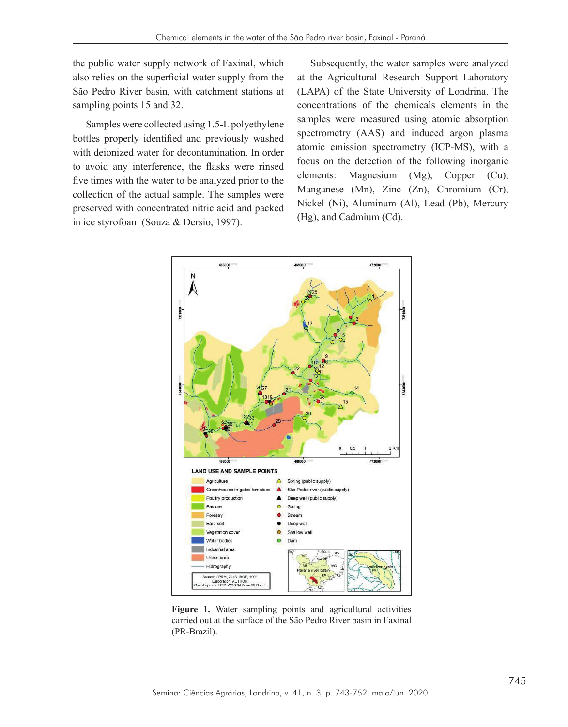the public water supply network of Faxinal, which also relies on the superficial water supply from the São Pedro River basin, with catchment stations at sampling points 15 and 32.

Samples were collected using 1.5-L polyethylene bottles properly identified and previously washed with deionized water for decontamination. In order to avoid any interference, the flasks were rinsed five times with the water to be analyzed prior to the elements: Magnesium  $(Mg)$ , Copper  $(Cu)$ , collection of the actual sample. The samples were  $\frac{\text{Manganes (Mn)} }{\text{Mif } \text{Mif } \text{Mif } \text{Mif } \text{Mif } \text{Mif } \text{Mif } \text{Mif } \text{Mif } \text{Mif } \text{Mif } \text{Mif } \text{Mif } \text{Mif } \text{Mif } \text{Mif } \text{Mif } \text{Mif } \text{Mif } \text{Mif } \text{Mif } \text{Mif } \text{Mif } \text{Mif } \text{Mif } \text{Mif } \$ preserved with concentrated nitric acid and packed  $\frac{N_{\text{R}}}{N_{\text{R}}}\left(\frac{N_{\text{R}}}{N_{\text{R}}}\right)$ , Aluminum (Al), Lead (Pb), Mercury in ice styrofoam (Souza & Dersio, 1997). with detection in the focus on the detection of the following inorganic<br>to avoid any interference the flasks were rinsed focus on the detection of the following inorganic

Subsequently, the water samples were analyzed at the Agricultural Research Support Laboratory (LAPA) of the State University of Londrina. The concentrations of the chemicals elements in the samples were measured using atomic absorption spectrometry (AAS) and induced argon plasma atomic emission spectrometry (ICP-MS), with a elements: Magnesium (Mg), Copper (Cu), Manganese (Mn), Zinc (Zn), Chromium (Cr), Nickel (Ni), Aluminum (Al), Lead (Pb), Mercury (Hg), and Cadmium (Cd).



Figure 1. Water sampling points and agricultural activities **Figure 1.** Water sampling points and agricultural activities carried out at the surface of the São Pedro River basin in Faxinal (PR-Brazil).  $\frac{\text{cm}}{\text{p}}$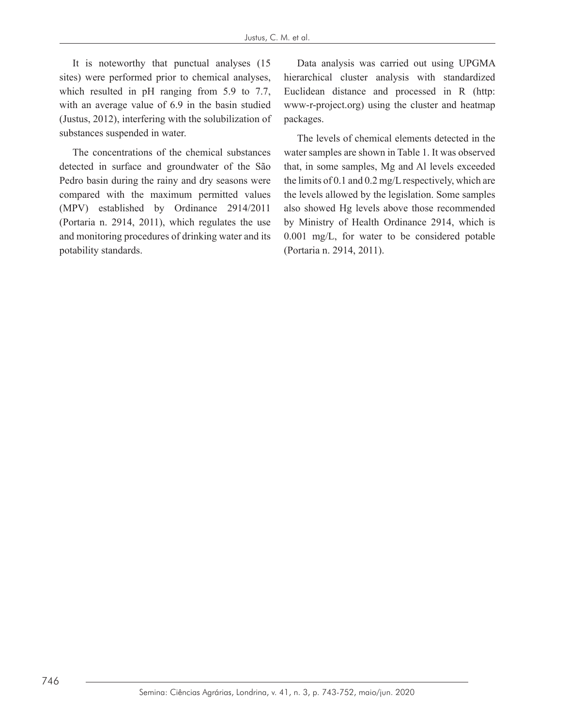It is noteworthy that punctual analyses (15 sites) were performed prior to chemical analyses, which resulted in pH ranging from 5.9 to 7.7, with an average value of 6.9 in the basin studied (Justus, 2012), interfering with the solubilization of substances suspended in water.

The concentrations of the chemical substances detected in surface and groundwater of the São Pedro basin during the rainy and dry seasons were compared with the maximum permitted values (MPV) established by Ordinance 2914/2011 (Portaria n. 2914, 2011), which regulates the use and monitoring procedures of drinking water and its potability standards.

Data analysis was carried out using UPGMA hierarchical cluster analysis with standardized Euclidean distance and processed in R (http: www-r-project.org) using the cluster and heatmap packages.

The levels of chemical elements detected in the water samples are shown in Table 1. It was observed that, in some samples, Mg and Al levels exceeded the limits of 0.1 and 0.2 mg/L respectively, which are the levels allowed by the legislation. Some samples also showed Hg levels above those recommended by Ministry of Health Ordinance 2914, which is 0.001 mg/L, for water to be considered potable (Portaria n. 2914, 2011).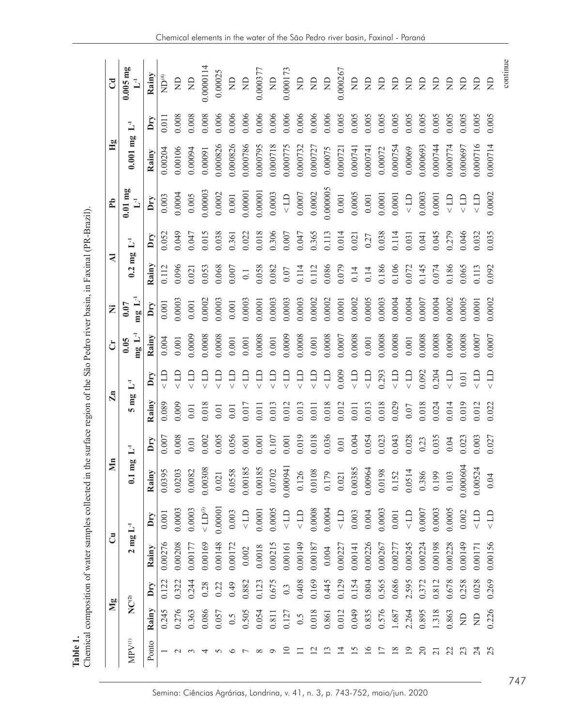| $\overline{c}$        | $0.005$ mg<br>$\mathbb{L}$                   | Rainy            | $\sum^\oplus$ | $\Xi$     | $\Xi$    | 0.0000114 | 0.00025  | $\Xi$     | $\Xi$            | 0.000377 | $\Xi$     | 0.000173    | $\beta$            | $\in \,$       | $\Xi$     | 0.000267  | $\Xi$           | $\Xi$           | g       | $\Xi$           | g             | g              | $\Xi$          | g        | g        | $\Xi$           | $\Xi$            |
|-----------------------|----------------------------------------------|------------------|---------------|-----------|----------|-----------|----------|-----------|------------------|----------|-----------|-------------|--------------------|----------------|-----------|-----------|-----------------|-----------------|---------|-----------------|---------------|----------------|----------------|----------|----------|-----------------|------------------|
|                       |                                              | $\sum_{i=1}^{n}$ | 0.011         | 0.008     | 0.008    | 0.008     | 0.006    | 0.006     | 0.006            | 0.006    | 0.006     | 0.006       | 0.006              | 0.006          | 0.006     | 0.005     | 0.005           | 0.005           | 0.005   | 0.005           | 0.005         | 0.005          | 0.005          | 0.005    | 0.005    | 0.005           | 0.005            |
| Hg                    | $0.001$ mg                                   | Rainy            | 0.00204       | 0.00106   | 0.00094  | 0.00091   | 0.000826 | 0.000826  | 0.000786         | 0.000795 | 0.000718  | 0.000775    | 0.000732           | 0.000727       | 0.00075   | 0.000721  | 0.000741        | 0.000741        | 0.00072 | 0.000754        | 0.00069       | 0.000693       | 0.000744       | 0.000774 | 0.000697 | 0.000716        | 0.000714         |
| Pb                    | $0.01$ mg<br>$\vec{\mathbf{L}}$              | Dry              | 0.003         | 0.0004    | 0.005    | 0.00003   | 0.0002   | 0.001     | 0.00001          | 0.00001  | 0.0003    | $<$ LD      | $0.0007$           | 0.0002         | 0.000005  | $0.001\,$ | 0.0005          | $0.001\,$       | 0.0001  | 0.0001          | $<$ LD        | 0.0003         | 0.0001         | $<$ LD   | Œ>       | $\overline{CD}$ | 0.0002           |
|                       |                                              | $\sum_{i=1}^{n}$ | 0.052         | 0.049     | 0.047    | 0.015     | 0.038    | 0.361     | 0.022            | 0.018    | 0.306     | $0.007$     | 0.047              | 0.365          | 0.113     | 0.014     | 0.021           | 0.27            | 0.038   | 0.114           | 0.031         | 0.041          | 0.045          | 0.279    | 046      | 0.32            | 0.035            |
| ₹                     | $0.2 \text{ mg}$                             | Rainy            | 0.112         | 0.096     | 0.021    | 0.053     | 0.068    | 0.007     | $\overline{0.1}$ | 0.058    | 0.082     | $0.07$      | 0.114              | 0.112          | 0.086     | 0.079     | 0.14            | 0.14            | 0.186   | 0.106           | 0.072         | 0.145          | 0.074          | 0.186    | 1.065    | 0.113           | 0.092            |
| Ż                     | mg $\mathbf{L}^{\text{-}1}$<br>0.07          | Dry              | 0.001         | 0.0003    | 0.001    | 0.0002    | 0.0003   | $0.001\,$ | 0.0003           | 0.0001   | 0.0003    | 0.0003      | 0.0003             | 0.0002         | 0.0002    | 0.0001    | 0.0002          | 0.0005          | 0.0003  | 0.0004          | 0.0004        | 0.0007         | 0.0004         | 0.0002   | 0.0005   | 0.0001          | 0.0002           |
| Ċ                     | mg $L^{-1}$<br>0.05                          | Rainy            | 0.004         | $0.001\,$ | 0.0009   | 0.0008    | 0.0008   | 0.001     | $0.001\,$        | 0.0008   | $0.001\,$ | 0.0009      | 0.0008             | $0.001\,$      | 0.0008    | 0.0007    | 0.0008          | $0.001\,$       | 0.0008  | 0.0008          | $0.001\,$     | 0.0008         | 0.0008         | 0.0009   | 0.0008   | 0.0007          | 0.0007           |
|                       |                                              | $\sum_{i=1}^{n}$ |               | Œ         | Œ        | Œ         | Œ        | Œ         | Œ                | Œ        | GLI >     | CD          | GT>                | $\overline{1}$ | $\bigcup$ | 0.009     | $\overline{CD}$ | $\overline{CD}$ | 0.293   | $\overline{CD}$ | Œ>            | 0.092          | 0.204          | GT>      | 0.01     | Œ               | $\sum_{i=1}^{n}$ |
| $\mathbf{z}_0$        | 5 <sub>mg</sub>                              | Rainy            | 0.089         | 0.009     | $0.01$   | 0.018     | 0.01     | 0.01      | 0.017            | 0.011    | 0.013     | 0.012       | 0.013              | 0.011          | 0.018     | 0.012     | $0.011$         | 0.013           | 0.018   | 0.029           | $0.07$        | 0.018          | 0.024          | 0.014    | 0.019    | 0.12            | 0.022            |
|                       |                                              | Dry              | 0.007         | 0.008     | $0.01\,$ | 0.002     | 0.005    | 0.056     | 0.001            | 0.001    | 0.107     | 0.001       | 0.019              | 0.018          | 0.036     | $0.01\,$  | 0.004           | 0.054           | 0.23    | 0.043           | 0.028         | 0.23           | 0.035          | 0.04     | 0.023    | 0.003           | 0.027            |
| $\sum_{n=1}^{\infty}$ | $m_{\mathcal{B}}^{\alpha}$<br>$\overline{1}$ | Rainy            | 0.0395        | 0.0203    | 0.0082   | 0.00308   | 0.021    | 0.0558    | 0.00185          | 0.00185  | 0.0702    | 0.00094     | 0.126              | 0.0108         | 0.179     | 0.021     | 0.00385         | 0.00964         | 0.0198  | 0.152           | 0.0514        | 0.386          | 0.199          | 0.103    | 0,00060  | 0.00524         | $0.04\,$         |
|                       |                                              | $\sum_{i=1}^{n}$ | 0.001         | 0.0003    | 0.0003   | $<$ LD(3) | 0.00001  | 0.003     | <b>CT&gt;</b>    | 0.0001   | 0.0005    | $<$ LD      | $\frac{1}{2}$      | 0.0008         | 0.0004    | $<$ LD    | 0.003           | $0.004$         | 0.0003  | $0.001$         | $\frac{1}{2}$ | 0.0007         | 0.0003         | 0.0005   | 0.002    | $\leq$ LD       | $\leq$           |
| ්                     | $2 \text{ mg } L^{-1}$                       | Rainy            | 0.00276       | 0.00208   | 0.00177  | 0.00169   | 0.00148  | 0.00172   | 0.002            | 0.0018   | 0.00215   | 0.00161     | 0.00149            | 0.00187        | 0.004     | 0.00227   | 0.00141         | 0.00226         | 0.00267 | 0.00277         | 0.00245       | 0.00224        | 0.00198        | 0.00228  | 0.00149  | 1.00171         | 0.00156          |
|                       |                                              | Drv              | 0.122         | 0.322     | 0.244    | 0.28      | 0.22     | 64.0      | 0.882            | 0.123    | 0.675     | 0.3         | 0.408              | 0.169          | 0.445     | 0.129     | 0.154           | 0.804           | 0.565   | 0.686           | 2.595         | 0.372          | 0.812          | 0.678    | 0.258    | 0.028           | 0.269            |
| $M_{g}$               | $NC^{(2)}$                                   | Rainy            | 0.245         | 0.276     | 0.363    | 0.086     | 0.057    | 6.5       | 0.505            | 0.054    | 0.811     | 0.127       | $\widetilde{C}$ .0 | 0.018          | 0.861     | 0.012     | 0.049           | 0.835           | 0.576   | 1.687           | 2.264         | 0.895          | 1.318          | 0.863    | $\Xi$    | $\Xi$           | 0.226            |
|                       | $MPV^{(1)}$                                  | Ponto            |               |           |          |           |          |           |                  |          |           | $\supseteq$ |                    |                |           |           |                 | 16              |         | 18              | 19            | $\overline{c}$ | $\overline{c}$ | 22       | 23       | $\overline{c}$  | 25               |

continue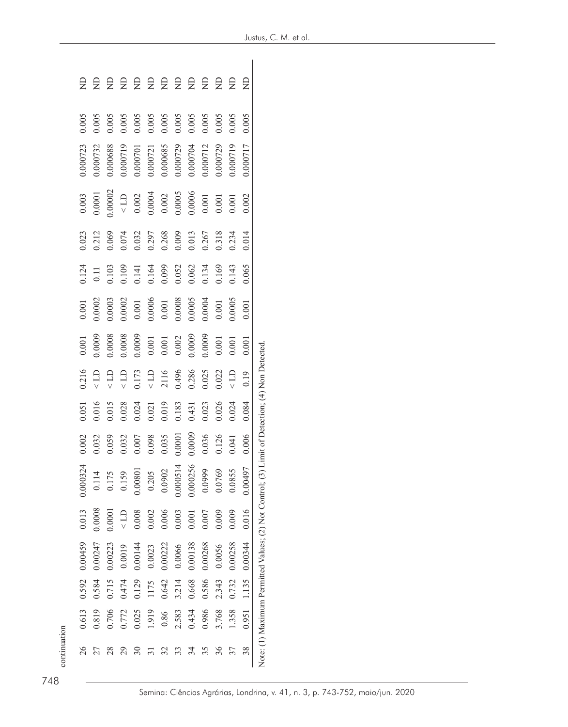| 26 | 0.613 | 0.592 | 0.00459 | 0.013     | 0.000324                                                                                               | 0.002                                                                                                | 0.051                                                                                      | 0.216                                  | 0.001                                                             | 1001                                                                                                                | 124                                       | 0.023                                                                    |                                                                                                                    | 0.000723 | 0.005                                                                                                | £                       |
|----|-------|-------|---------|-----------|--------------------------------------------------------------------------------------------------------|------------------------------------------------------------------------------------------------------|--------------------------------------------------------------------------------------------|----------------------------------------|-------------------------------------------------------------------|---------------------------------------------------------------------------------------------------------------------|-------------------------------------------|--------------------------------------------------------------------------|--------------------------------------------------------------------------------------------------------------------|----------|------------------------------------------------------------------------------------------------------|-------------------------|
|    | 0.819 | 0.584 | 0.00247 | 0.0008    | 0.114                                                                                                  |                                                                                                      | 0.016                                                                                      | $\overline{CD}$                        | 0000                                                              | 0.0002                                                                                                              | 0.11                                      | 0.212                                                                    |                                                                                                                    | 0.000732 | 0.005                                                                                                |                         |
| 28 | 0.706 | 0.715 | 0.00223 | 0.0001    | 0.175                                                                                                  | $\begin{array}{l} 0.032 \\ 0.059 \\ 0.032 \\ 0.007 \\ 0.007 \\ 0.098 \\ 0.035 \\ 0.0001 \end{array}$ | 0.015                                                                                      | CD                                     | $0.0008$<br>$0.0008$<br>$0.0001$<br>$0.001$<br>$0.001$<br>$0.002$ |                                                                                                                     | 0.103<br>0.109<br>0.141<br>0.099<br>0.052 | 0.069                                                                    | $0.003$<br>$0.00001$<br>$0.00002$<br>$0.002$<br>$0.0004$<br>$0.0005$<br>$0.0005$<br>$0.0006$<br>$0.001$<br>$0.001$ | 0.000688 | 0.005                                                                                                | 2 2 2 2 2 2 2 2 2 2 2 2 |
| 29 | 0.772 | 0.474 | 0.0019  | $<$ LD    |                                                                                                        |                                                                                                      |                                                                                            | $\overline{CD}$                        |                                                                   |                                                                                                                     |                                           |                                                                          |                                                                                                                    | 0.000719 |                                                                                                      |                         |
|    | 0.025 | 0.129 | 0.00144 | 0.008     |                                                                                                        |                                                                                                      |                                                                                            |                                        |                                                                   |                                                                                                                     |                                           |                                                                          |                                                                                                                    | 0.000701 |                                                                                                      |                         |
|    | 1.919 | 1175  | 0.0023  | $0.002$   |                                                                                                        |                                                                                                      |                                                                                            |                                        |                                                                   |                                                                                                                     |                                           |                                                                          |                                                                                                                    | 0.000721 |                                                                                                      |                         |
|    | 0.86  | 0.642 | 0.00222 | 0.006     | $\begin{array}{c} 0.159 \\ 0.00801 \\ 0.205 \\ 0.0902 \\ 0.000514 \\ 0.000514 \\ 0.000256 \end{array}$ |                                                                                                      | $\begin{array}{c} 0.028 \\ 0.024 \\ 0.021 \\ 0.019 \\ 0.183 \\ 0.183 \\ 0.431 \end{array}$ | $0.173$<br>$<$ 1D<br>$2116$<br>$0.496$ |                                                                   | $\begin{array}{l} 0.0003 \\ 0.0002 \\ 0.001 \\ 0.006 \\ 0.0006 \\ 0.0008 \\ 0.0008 \\ 0.0005 \\ 0.0004 \end{array}$ |                                           | $\begin{array}{c} 0.074 \\ 0.032 \\ 0.297 \\ 0.268 \\ 0.068 \end{array}$ |                                                                                                                    | 0.000685 | $\begin{array}{l} 0.005\ 0.005\ 0.005\ 0.005\ 0.005\ 0.005\ 0.005\ 0.005\ 0.005\ 0.005\ \end{array}$ |                         |
|    | 2.583 | 3.214 | 0.0066  | 0.003     |                                                                                                        |                                                                                                      |                                                                                            |                                        |                                                                   |                                                                                                                     |                                           |                                                                          |                                                                                                                    | 0.000729 |                                                                                                      |                         |
| 34 | 0.434 | 0.668 | 0.00138 | $0.001\,$ |                                                                                                        | 0.0009                                                                                               |                                                                                            | 0.286                                  |                                                                   |                                                                                                                     |                                           |                                                                          |                                                                                                                    | 0.000704 |                                                                                                      |                         |
|    | 0.986 | 0.586 | 0.00268 | $0.007$   | 0.0999                                                                                                 | 0.036<br>0.126                                                                                       | 0.023                                                                                      | 0.025                                  |                                                                   |                                                                                                                     | 0.062<br>0.134<br>0.169                   | 0.013                                                                    |                                                                                                                    | 0.000712 |                                                                                                      |                         |
|    | 3.768 | 2.343 | 0.0056  | 0.009     | 0.0769                                                                                                 |                                                                                                      | 0.026                                                                                      | 0.022                                  | 0.001                                                             | 0.001                                                                                                               |                                           | 0.318                                                                    |                                                                                                                    | 0.000729 | 0.005                                                                                                |                         |
|    | 1.358 | 0.732 | 0.00258 | 0.009     | 0.0855                                                                                                 | 1.041                                                                                                | 0.24                                                                                       | $\overline{CD}$                        | 0.001                                                             | 0005                                                                                                                | 0.143                                     | 0.234                                                                    |                                                                                                                    | 0.000719 | 0.005                                                                                                |                         |
| 38 | 0.951 | 1.135 | 0.00344 | 0.016     | 0.00497                                                                                                | 0.006                                                                                                | 0.84                                                                                       | 0.19                                   | 1001                                                              | 1.001                                                                                                               | 1.065                                     | 0.014                                                                    | 0.002                                                                                                              | 0.000717 | 0.005                                                                                                |                         |
|    |       |       |         |           | Note: (1) Maximum Permitted Values; (2) Not Control; (3) Limit of Detection; (4) Non Detected          |                                                                                                      |                                                                                            |                                        |                                                                   |                                                                                                                     |                                           |                                                                          |                                                                                                                    |          |                                                                                                      |                         |

continuation

continuation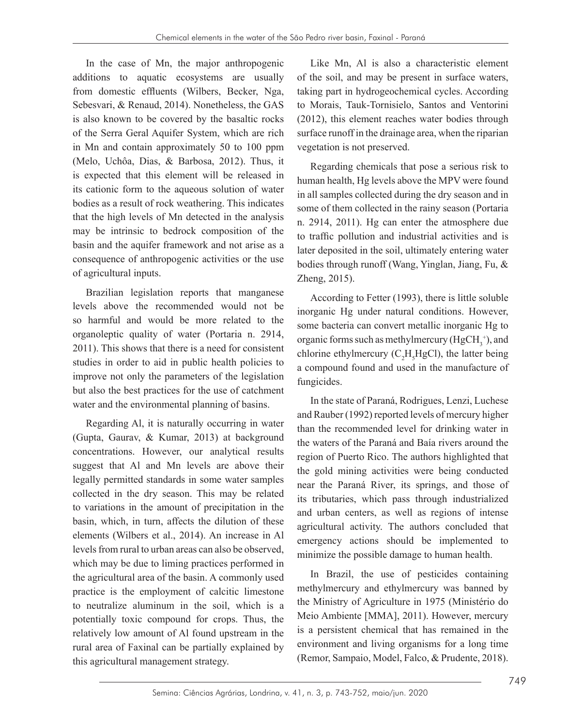In the case of Mn, the major anthropogenic additions to aquatic ecosystems are usually from domestic effluents (Wilbers, Becker, Nga, Sebesvari, & Renaud, 2014). Nonetheless, the GAS is also known to be covered by the basaltic rocks of the Serra Geral Aquifer System, which are rich in Mn and contain approximately 50 to 100 ppm (Melo, Uchôa, Dias, & Barbosa, 2012). Thus, it is expected that this element will be released in its cationic form to the aqueous solution of water bodies as a result of rock weathering. This indicates that the high levels of Mn detected in the analysis may be intrinsic to bedrock composition of the basin and the aquifer framework and not arise as a consequence of anthropogenic activities or the use of agricultural inputs.

Brazilian legislation reports that manganese levels above the recommended would not be so harmful and would be more related to the organoleptic quality of water (Portaria n. 2914, 2011). This shows that there is a need for consistent studies in order to aid in public health policies to improve not only the parameters of the legislation but also the best practices for the use of catchment water and the environmental planning of basins.

Regarding Al, it is naturally occurring in water (Gupta, Gaurav, & Kumar, 2013) at background concentrations. However, our analytical results suggest that Al and Mn levels are above their legally permitted standards in some water samples collected in the dry season. This may be related to variations in the amount of precipitation in the basin, which, in turn, affects the dilution of these elements (Wilbers et al., 2014). An increase in Al levels from rural to urban areas can also be observed, which may be due to liming practices performed in the agricultural area of the basin. A commonly used practice is the employment of calcitic limestone to neutralize aluminum in the soil, which is a potentially toxic compound for crops. Thus, the relatively low amount of Al found upstream in the rural area of Faxinal can be partially explained by this agricultural management strategy.

Like Mn, Al is also a characteristic element of the soil, and may be present in surface waters, taking part in hydrogeochemical cycles. According to Morais, Tauk-Tornisielo, Santos and Ventorini (2012), this element reaches water bodies through surface runoff in the drainage area, when the riparian vegetation is not preserved.

Regarding chemicals that pose a serious risk to human health, Hg levels above the MPV were found in all samples collected during the dry season and in some of them collected in the rainy season (Portaria n. 2914, 2011). Hg can enter the atmosphere due to traffic pollution and industrial activities and is later deposited in the soil, ultimately entering water bodies through runoff (Wang, Yinglan, Jiang, Fu, & Zheng, 2015).

According to Fetter (1993), there is little soluble inorganic Hg under natural conditions. However, some bacteria can convert metallic inorganic Hg to organic forms such as methylmercury ( $HgCH<sub>3</sub><sup>+</sup>$ ), and chlorine ethylmercury ( $C_2H_5HgCl$ ), the latter being a compound found and used in the manufacture of fungicides.

In the state of Paraná, Rodrigues, Lenzi, Luchese and Rauber (1992) reported levels of mercury higher than the recommended level for drinking water in the waters of the Paraná and Baía rivers around the region of Puerto Rico. The authors highlighted that the gold mining activities were being conducted near the Paraná River, its springs, and those of its tributaries, which pass through industrialized and urban centers, as well as regions of intense agricultural activity. The authors concluded that emergency actions should be implemented to minimize the possible damage to human health.

In Brazil, the use of pesticides containing methylmercury and ethylmercury was banned by the Ministry of Agriculture in 1975 (Ministério do Meio Ambiente [MMA], 2011). However, mercury is a persistent chemical that has remained in the environment and living organisms for a long time (Remor, Sampaio, Model, Falco, & Prudente, 2018).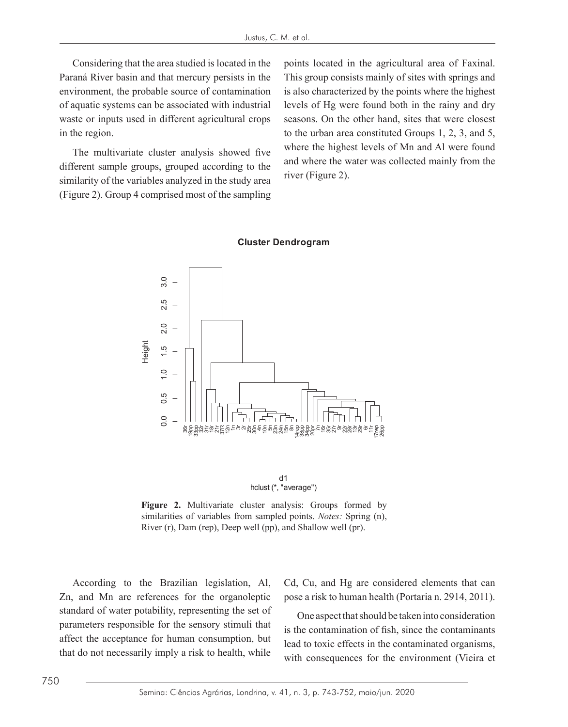Considering that the area studied is located in the Paraná River basin and that mercury persists in the environment, the probable source of contamination is also of aquatic systems can be associated with industrial waste or inputs used in different agricultural crops seasons. On the other hand, sites that were closest in the region. the environment of contamination of contamination of  $\mathbb{R}^n$  is subsequently defined with industrial  $\mathbb{R}^n$ .

The multivariate cluster analysis showed five different sample groups, grouped according to the similarity of the variables analyzed in the study area river (Figure 2). (Figure 2). Group 4 comprised most of the sampling inc manivariate ensure analysis showed live<br>different sample groups grouped according to the and where the water was collected mainly from the

points located in the agricultural area of Faxinal. This group consists mainly of sites with springs and is also characterized by the points where the highest tic systems can be associated with industrial levels of Hg were found both in the rainy and dry seasons. On the other hand, sites that were closest to the urban area constituted Groups 1, 2, 3, and 5,  $\frac{1}{2}$  and  $\frac{1}{2}$  are agreed in the agricultural area of  $\frac{1}{2}$  and  $\frac{1}{2}$ ,  $\frac{1}{2}$ ,  $\frac{1}{2}$ ,  $\frac{1}{2}$ ,  $\frac{1}{2}$ ,  $\frac{1}{2}$ ,  $\frac{1}{2}$ ,  $\frac{1}{2}$ ,  $\frac{1}{2}$ ,  $\frac{1}{2}$ ,  $\frac{1}{2}$ ,  $\frac{1}{2}$ ,  $\frac{1}{2}$ , river (Figure 2).



**Cluster Dendrogram**

hclust (\*, "average") d1

**Figure 2.** Multivariate cluster analysis: Groups formed by **Figure 2.** Multivariate cluster analysis: Groups formed by similarities of variables from sampled points. *Notes:* Spring (n), *River (r), Dam (rep), Deep well (pp), and Shallow well (pr).*  $\alpha$  (s), B and (sep), B seep well (pp), and Shallow well (ps).

According to the Brazilian legislation, Al, Zn, and Mn are references for the organoleptic standard of water potability, representing the set of parameters responsible for the sensory stimuli that affect the acceptance for human consumption, but that do not necessarily imply a risk to health, while

Cd, Cu, and Hg are considered elements that can pose a risk to human health (Portaria n. 2914, 2011).

One aspect that should be taken into consideration is the contamination of fish, since the contaminants lead to toxic effects in the contaminated organisms, with consequences for the environment (Vieira et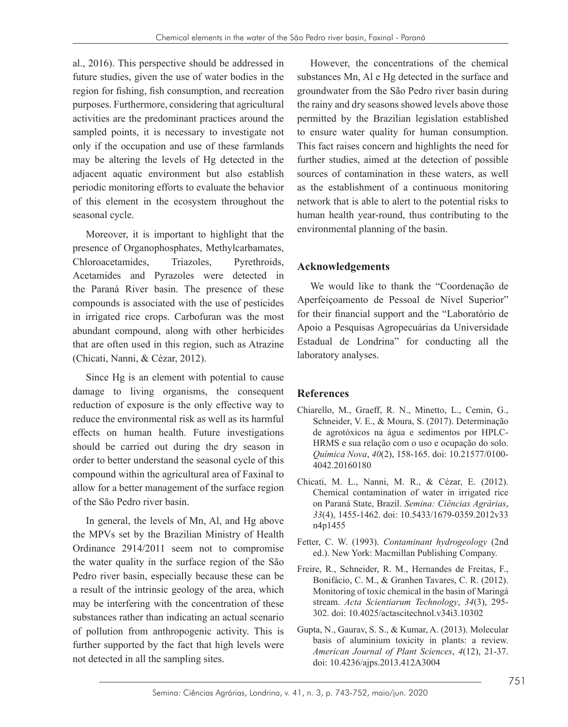al., 2016). This perspective should be addressed in future studies, given the use of water bodies in the region for fishing, fish consumption, and recreation purposes. Furthermore, considering that agricultural activities are the predominant practices around the sampled points, it is necessary to investigate not only if the occupation and use of these farmlands may be altering the levels of Hg detected in the adjacent aquatic environment but also establish periodic monitoring efforts to evaluate the behavior of this element in the ecosystem throughout the seasonal cycle.

Moreover, it is important to highlight that the presence of Organophosphates, Methylcarbamates, Chloroacetamides, Triazoles, Pyrethroids, Acetamides and Pyrazoles were detected in the Paraná River basin. The presence of these compounds is associated with the use of pesticides in irrigated rice crops. Carbofuran was the most abundant compound, along with other herbicides that are often used in this region, such as Atrazine (Chicati, Nanni, & Cézar, 2012).

Since Hg is an element with potential to cause damage to living organisms, the consequent reduction of exposure is the only effective way to reduce the environmental risk as well as its harmful effects on human health. Future investigations should be carried out during the dry season in order to better understand the seasonal cycle of this compound within the agricultural area of Faxinal to allow for a better management of the surface region of the São Pedro river basin.

In general, the levels of Mn, Al, and Hg above the MPVs set by the Brazilian Ministry of Health Ordinance 2914/2011 seem not to compromise the water quality in the surface region of the São Pedro river basin, especially because these can be a result of the intrinsic geology of the area, which may be interfering with the concentration of these substances rather than indicating an actual scenario of pollution from anthropogenic activity. This is further supported by the fact that high levels were not detected in all the sampling sites.

However, the concentrations of the chemical substances Mn, Al e Hg detected in the surface and groundwater from the São Pedro river basin during the rainy and dry seasons showed levels above those permitted by the Brazilian legislation established to ensure water quality for human consumption. This fact raises concern and highlights the need for further studies, aimed at the detection of possible sources of contamination in these waters, as well as the establishment of a continuous monitoring network that is able to alert to the potential risks to human health year-round, thus contributing to the environmental planning of the basin.

## **Acknowledgements**

We would like to thank the "Coordenação de Aperfeiçoamento de Pessoal de Nível Superior" for their financial support and the "Laboratório de Apoio a Pesquisas Agropecuárias da Universidade Estadual de Londrina" for conducting all the laboratory analyses.

## **References**

- Chiarello, M., Graeff, R. N., Minetto, L., Cemin, G., Schneider, V. E., & Moura, S. (2017). Determinação de agrotóxicos na água e sedimentos por HPLC-HRMS e sua relação com o uso e ocupação do solo. *Química Nova*, *40*(2), 158-165. doi: 10.21577/0100- 4042.20160180
- Chicati, M. L., Nanni, M. R., & Cézar, E. (2012). Chemical contamination of water in irrigated rice on Paraná State, Brazil. *Semina: Ciências Agrárias*, *33*(4), 1455-1462. doi: 10.5433/1679-0359.2012v33 n4p1455
- Fetter, C. W. (1993). *Contaminant hydrogeology* (2nd ed.). New York: Macmillan Publishing Company.
- Freire, R., Schneider, R. M., Hernandes de Freitas, F., Bonifácio, C. M., & Granhen Tavares, C. R. (2012). Monitoring of toxic chemical in the basin of Maringá stream. *Acta Scientiarum Technology*, *34*(3), 295- 302. doi: 10.4025/actascitechnol.v34i3.10302
- Gupta, N., Gaurav, S. S., & Kumar, A. (2013). Molecular basis of aluminium toxicity in plants: a review. *American Journal of Plant Sciences*, *4*(12), 21-37. doi: 10.4236/ajps.2013.412A3004